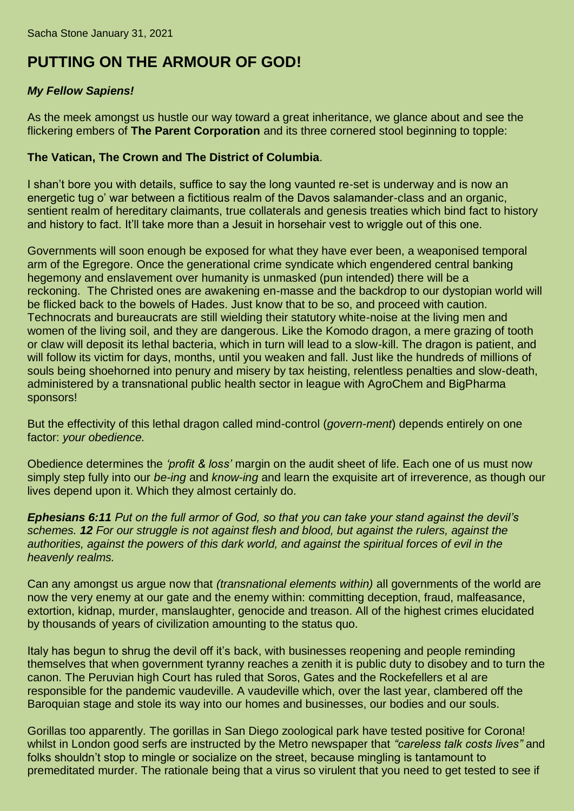## **PUTTING ON THE ARMOUR OF GOD!**

## *My Fellow Sapiens!*

As the meek amongst us hustle our way toward a great inheritance, we glance about and see the flickering embers of **The Parent Corporation** and its three cornered stool beginning to topple:

## **The Vatican, The Crown and The District of Columbia**.

I shan't bore you with details, suffice to say the long vaunted re-set is underway and is now an energetic tug o' war between a fictitious realm of the Davos salamander-class and an organic, sentient realm of hereditary claimants, true collaterals and genesis treaties which bind fact to history and history to fact. It'll take more than a Jesuit in horsehair vest to wriggle out of this one.

Governments will soon enough be exposed for what they have ever been, a weaponised temporal arm of the Egregore. Once the generational crime syndicate which engendered central banking hegemony and enslavement over humanity is unmasked (pun intended) there will be a reckoning. The Christed ones are awakening en-masse and the backdrop to our dystopian world will be flicked back to the bowels of Hades. Just know that to be so, and proceed with caution. Technocrats and bureaucrats are still wielding their statutory white-noise at the living men and women of the living soil, and they are dangerous. Like the Komodo dragon, a mere grazing of tooth or claw will deposit its lethal bacteria, which in turn will lead to a slow-kill. The dragon is patient, and will follow its victim for days, months, until you weaken and fall. Just like the hundreds of millions of souls being shoehorned into penury and misery by tax heisting, relentless penalties and slow-death, administered by a transnational public health sector in league with AgroChem and BigPharma sponsors!

But the effectivity of this lethal dragon called mind-control (*govern-ment*) depends entirely on one factor: *your obedience.*

Obedience determines the *'profit & loss'* margin on the audit sheet of life. Each one of us must now simply step fully into our *be-ing* and *know-ing* and learn the exquisite art of irreverence, as though our lives depend upon it. Which they almost certainly do.

*Ephesians 6:11 Put on the full armor of God, so that you can take your stand against the devil's schemes. 12 For our struggle is not against flesh and blood, but against the rulers, against the authorities, against the powers of this dark world, and against the spiritual forces of evil in the heavenly realms.*

Can any amongst us argue now that *(transnational elements within)* all governments of the world are now the very enemy at our gate and the enemy within: committing deception, fraud, malfeasance, extortion, kidnap, murder, manslaughter, genocide and treason. All of the highest crimes elucidated by thousands of years of civilization amounting to the status quo.

Italy has begun to shrug the devil off it's back, with businesses reopening and people reminding themselves that when government tyranny reaches a zenith it is public duty to disobey and to turn the canon. The Peruvian high Court has ruled that Soros, Gates and the Rockefellers et al are responsible for the pandemic vaudeville. A vaudeville which, over the last year, clambered off the Baroquian stage and stole its way into our homes and businesses, our bodies and our souls.

Gorillas too apparently. The gorillas in San Diego zoological park have tested positive for Corona! whilst in London good serfs are instructed by the Metro newspaper that *"careless talk costs lives"* and folks shouldn't stop to mingle or socialize on the street, because mingling is tantamount to premeditated murder. The rationale being that a virus so virulent that you need to get tested to see if